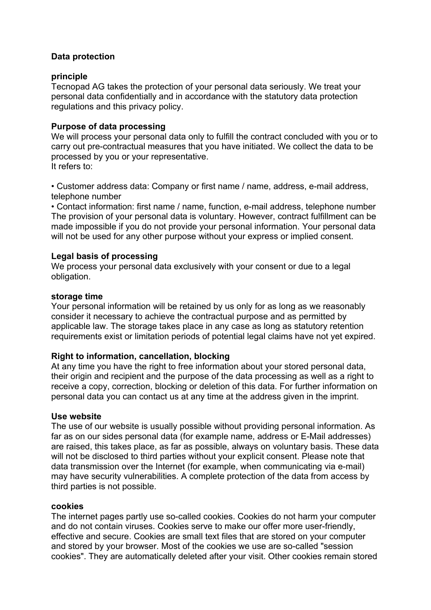# **Data protection**

## **principle**

Tecnopad AG takes the protection of your personal data seriously. We treat your personal data confidentially and in accordance with the statutory data protection regulations and this privacy policy.

## **Purpose of data processing**

We will process your personal data only to fulfill the contract concluded with you or to carry out pre-contractual measures that you have initiated. We collect the data to be processed by you or your representative. It refers to:

• Customer address data: Company or first name / name, address, e-mail address, telephone number

• Contact information: first name / name, function, e-mail address, telephone number The provision of your personal data is voluntary. However, contract fulfillment can be made impossible if you do not provide your personal information. Your personal data will not be used for any other purpose without your express or implied consent.

## **Legal basis of processing**

We process your personal data exclusively with your consent or due to a legal obligation.

## **storage time**

Your personal information will be retained by us only for as long as we reasonably consider it necessary to achieve the contractual purpose and as permitted by applicable law. The storage takes place in any case as long as statutory retention requirements exist or limitation periods of potential legal claims have not yet expired.

## **Right to information, cancellation, blocking**

At any time you have the right to free information about your stored personal data, their origin and recipient and the purpose of the data processing as well as a right to receive a copy, correction, blocking or deletion of this data. For further information on personal data you can contact us at any time at the address given in the imprint.

## **Use website**

The use of our website is usually possible without providing personal information. As far as on our sides personal data (for example name, address or E-Mail addresses) are raised, this takes place, as far as possible, always on voluntary basis. These data will not be disclosed to third parties without your explicit consent. Please note that data transmission over the Internet (for example, when communicating via e-mail) may have security vulnerabilities. A complete protection of the data from access by third parties is not possible.

## **cookies**

The internet pages partly use so-called cookies. Cookies do not harm your computer and do not contain viruses. Cookies serve to make our offer more user-friendly, effective and secure. Cookies are small text files that are stored on your computer and stored by your browser. Most of the cookies we use are so-called "session cookies". They are automatically deleted after your visit. Other cookies remain stored